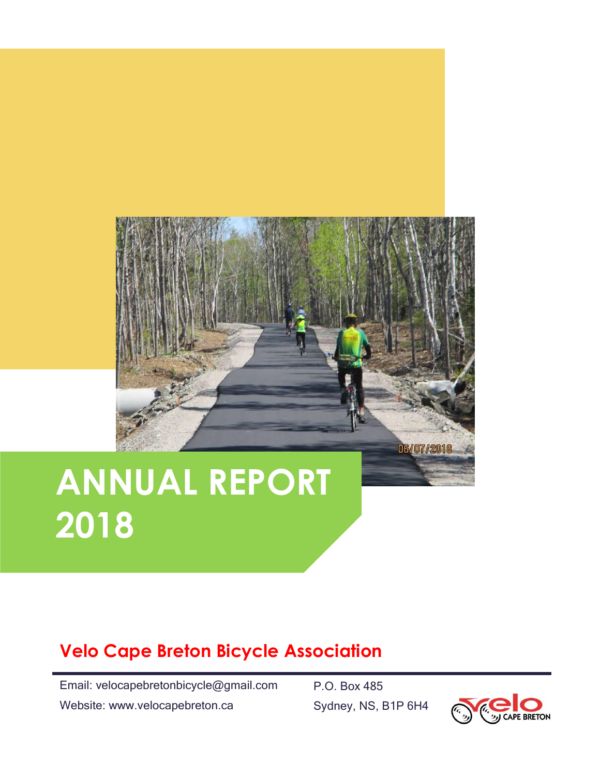

# **ANNUAL REPORT 2018**

# **Velo Cape Breton Bicycle Association**

Email: velocapebretonbicycle@gmail.com

Website: www.velocapebreton.ca

P.O. Box 485 Sydney, NS, B1P 6H4

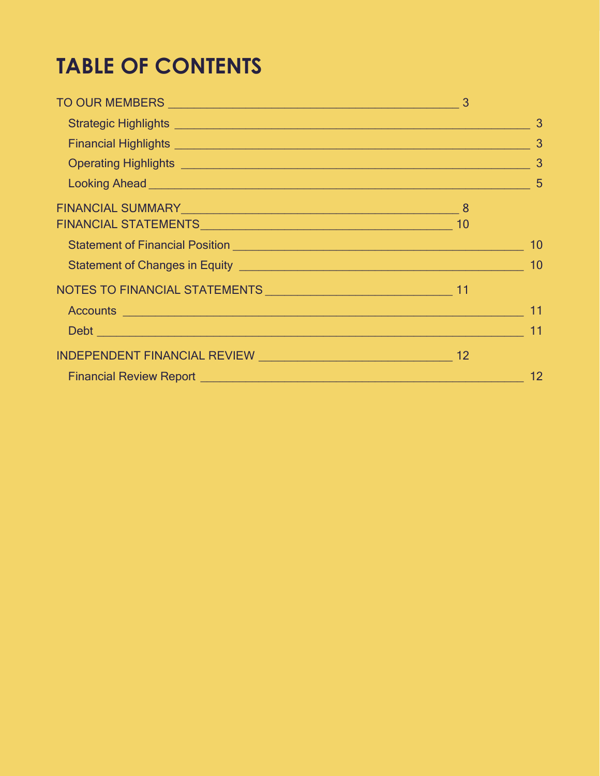# **TABLE OF CONTENTS**

| FINANCIAL SUMMARY 8                                         |    |
|-------------------------------------------------------------|----|
|                                                             |    |
|                                                             |    |
|                                                             |    |
|                                                             |    |
|                                                             | 11 |
|                                                             | 11 |
|                                                             |    |
| Financial Review Report <b>Financial Review Report</b> 1995 | 12 |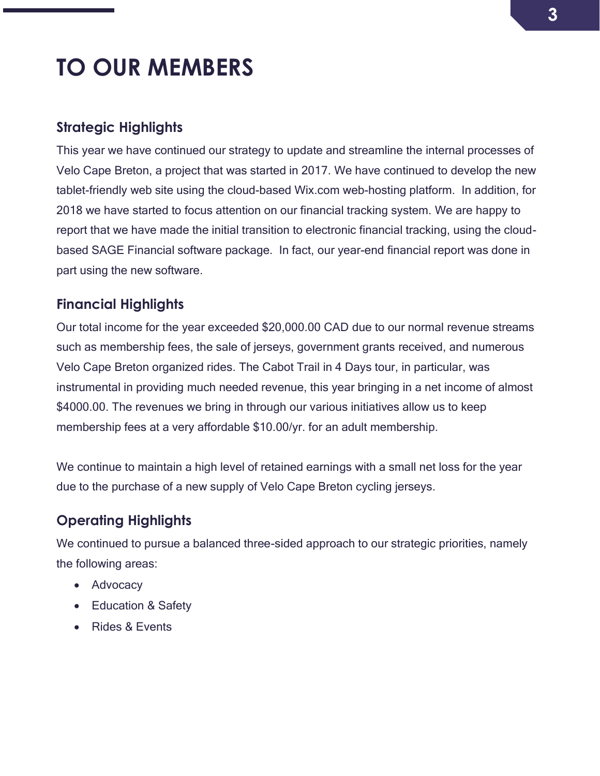# <span id="page-2-0"></span>**TO OUR MEMBERS**

### <span id="page-2-1"></span>**Strategic Highlights**

This year we have continued our strategy to update and streamline the internal processes of Velo Cape Breton, a project that was started in 2017. We have continued to develop the new tablet-friendly web site using the cloud-based Wix.com web-hosting platform. In addition, for 2018 we have started to focus attention on our financial tracking system. We are happy to report that we have made the initial transition to electronic financial tracking, using the cloudbased SAGE Financial software package. In fact, our year-end financial report was done in part using the new software.

### <span id="page-2-2"></span>**Financial Highlights**

Our total income for the year exceeded \$20,000.00 CAD due to our normal revenue streams such as membership fees, the sale of jerseys, government grants received, and numerous Velo Cape Breton organized rides. The Cabot Trail in 4 Days tour, in particular, was instrumental in providing much needed revenue, this year bringing in a net income of almost \$4000.00. The revenues we bring in through our various initiatives allow us to keep membership fees at a very affordable \$10.00/yr. for an adult membership.

We continue to maintain a high level of retained earnings with a small net loss for the year due to the purchase of a new supply of Velo Cape Breton cycling jerseys.

# <span id="page-2-3"></span>**Operating Highlights**

We continued to pursue a balanced three-sided approach to our strategic priorities, namely the following areas:

- Advocacy
- Education & Safety
- Rides & Events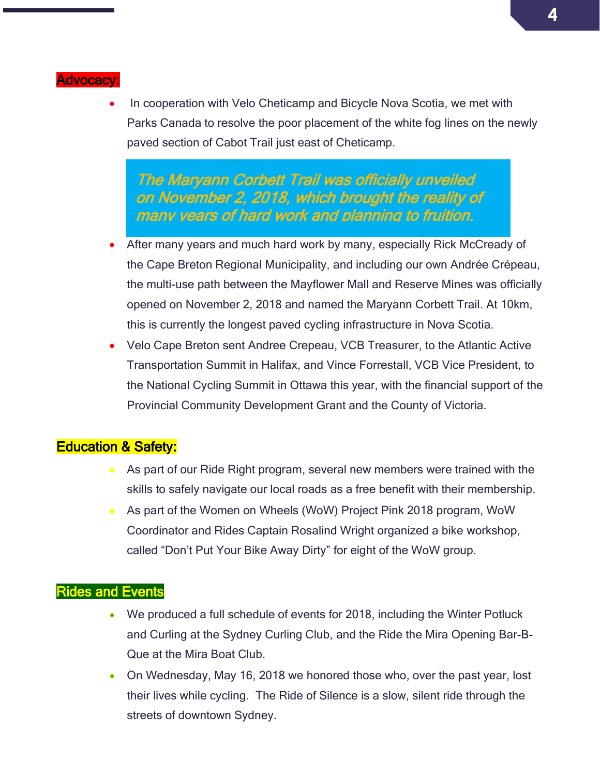#### **Advocacy**

In cooperation with Velo Cheticamp and Bicycle Nova Scotia, we met with Parks Canada to resolve the poor placement of the white fog lines on the newly paved section of Cabot Trail just east of Cheticamp.

The Maryann Corbett Trail was officially unveiled on November 2, 2018, which brought the reality of many years of hard work and planning to fruition.

- After many years and much hard work by many, especially Rick McCready of the Cape Breton Regional Municipality, and including our own Andrée Crépeau, the multi-use path between the Mayflower Mall and Reserve Mines was officially opened on November 2, 2018 and named the Maryann Corbett Trail. At 10km, this is currently the longest paved cycling infrastructure in Nova Scotia.
- Velo Cape Breton sent Andree Crepeau, VCB Treasurer, to the Atlantic Active Transportation Summit in Halifax, and Vince Forrestall, VCB Vice President, to the National Cycling Summit in Ottawa this year, with the financial support of the Provincial Community Development Grant and the County of Victoria.

### Education & Safety:

- As part of our Ride Right program, several new members were trained with the skills to safely navigate our local roads as a free benefit with their membership.
- As part of the Women on Wheels (WoW) Project Pink 2018 program, WoW Coordinator and Rides Captain Rosalind Wright organized a bike workshop, called "Don't Put Your Bike Away Dirty" for eight of the WoW group.

#### Rides and Events:

- We produced a full schedule of events for 2018, including the Winter Potluck and Curling at the Sydney Curling Club, and the Ride the Mira Opening Bar-B-Que at the Mira Boat Club.
- On Wednesday, May 16, 2018 we honored those who, over the past year, lost their lives while cycling. The Ride of Silence is a slow, silent ride through the streets of downtown Sydney.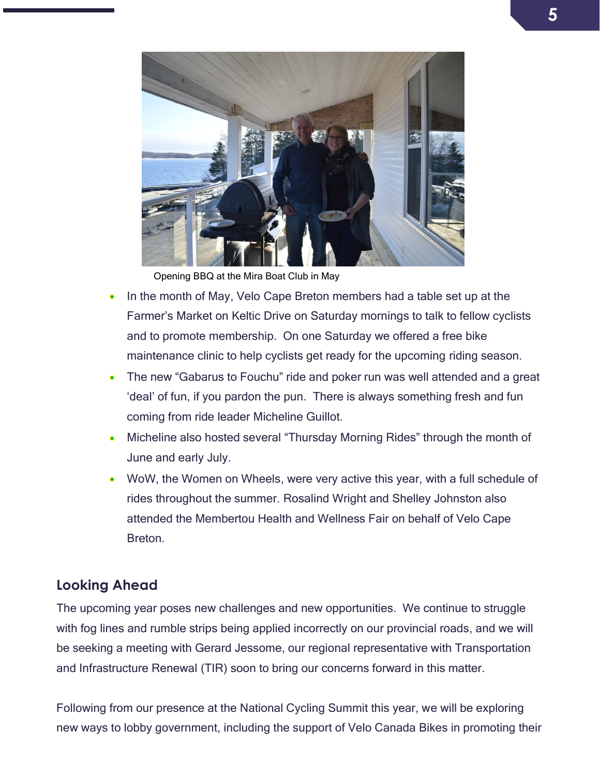

Opening BBQ at the Mira Boat Club in May

- In the month of May, Velo Cape Breton members had a table set up at the Farmer's Market on Keltic Drive on Saturday mornings to talk to fellow cyclists and to promote membership. On one Saturday we offered a free bike maintenance clinic to help cyclists get ready for the upcoming riding season.
- The new "Gabarus to Fouchu" ride and poker run was well attended and a great 'deal' of fun, if you pardon the pun. There is always something fresh and fun coming from ride leader Micheline Guillot.
- Micheline also hosted several "Thursday Morning Rides" through the month of June and early July.
- WoW, the Women on Wheels, were very active this year, with a full schedule of rides throughout the summer. Rosalind Wright and Shelley Johnston also attended the Membertou Health and Wellness Fair on behalf of Velo Cape **Breton**

### <span id="page-4-0"></span>**Looking Ahead**

The upcoming year poses new challenges and new opportunities. We continue to struggle with fog lines and rumble strips being applied incorrectly on our provincial roads, and we will be seeking a meeting with Gerard Jessome, our regional representative with Transportation and Infrastructure Renewal (TIR) soon to bring our concerns forward in this matter.

Following from our presence at the National Cycling Summit this year, we will be exploring new ways to lobby government, including the support of Velo Canada Bikes in promoting their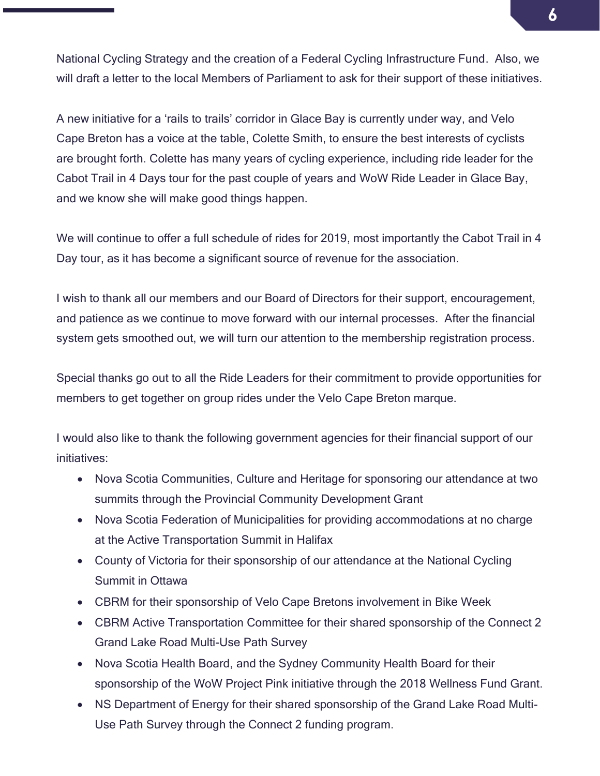National Cycling Strategy and the creation of a Federal Cycling Infrastructure Fund. Also, we will draft a letter to the local Members of Parliament to ask for their support of these initiatives.

A new initiative for a 'rails to trails' corridor in Glace Bay is currently under way, and Velo Cape Breton has a voice at the table, Colette Smith, to ensure the best interests of cyclists are brought forth. Colette has many years of cycling experience, including ride leader for the Cabot Trail in 4 Days tour for the past couple of years and WoW Ride Leader in Glace Bay, and we know she will make good things happen.

We will continue to offer a full schedule of rides for 2019, most importantly the Cabot Trail in 4 Day tour, as it has become a significant source of revenue for the association.

I wish to thank all our members and our Board of Directors for their support, encouragement, and patience as we continue to move forward with our internal processes. After the financial system gets smoothed out, we will turn our attention to the membership registration process.

Special thanks go out to all the Ride Leaders for their commitment to provide opportunities for members to get together on group rides under the Velo Cape Breton marque.

I would also like to thank the following government agencies for their financial support of our initiatives:

- Nova Scotia Communities, Culture and Heritage for sponsoring our attendance at two summits through the Provincial Community Development Grant
- Nova Scotia Federation of Municipalities for providing accommodations at no charge at the Active Transportation Summit in Halifax
- County of Victoria for their sponsorship of our attendance at the National Cycling Summit in Ottawa
- CBRM for their sponsorship of Velo Cape Bretons involvement in Bike Week
- CBRM Active Transportation Committee for their shared sponsorship of the Connect 2 Grand Lake Road Multi-Use Path Survey
- Nova Scotia Health Board, and the Sydney Community Health Board for their sponsorship of the WoW Project Pink initiative through the 2018 Wellness Fund Grant.
- NS Department of Energy for their shared sponsorship of the Grand Lake Road Multi-Use Path Survey through the Connect 2 funding program.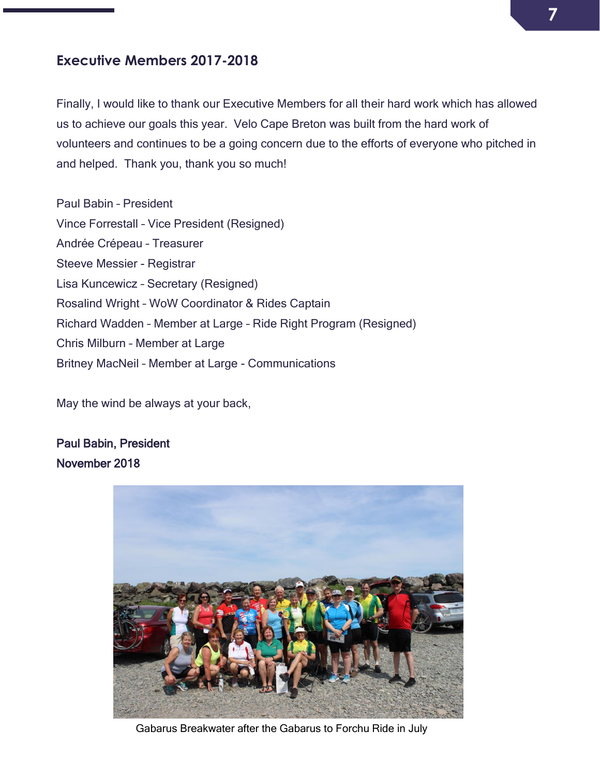### **Executive Members 2017-2018**

Finally, I would like to thank our Executive Members for all their hard work which has allowed us to achieve our goals this year. Velo Cape Breton was built from the hard work of volunteers and continues to be a going concern due to the efforts of everyone who pitched in and helped. Thank you, thank you so much!

Paul Babin – President Vince Forrestall – Vice President (Resigned) Andrée Crépeau – Treasurer Steeve Messier - Registrar Lisa Kuncewicz – Secretary (Resigned) Rosalind Wright – WoW Coordinator & Rides Captain Richard Wadden – Member at Large – Ride Right Program (Resigned) Chris Milburn – Member at Large Britney MacNeil – Member at Large - Communications

May the wind be always at your back,

Paul Babin, President November 2018



Gabarus Breakwater after the Gabarus to Forchu Ride in July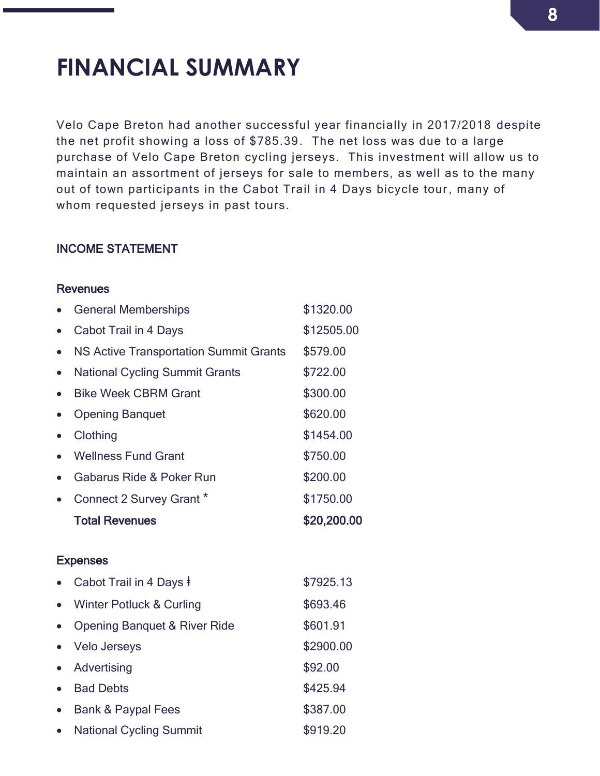# <span id="page-7-0"></span>**FINANCIAL SUMMARY**

Velo Cape Breton had another successful year financially in 2017/2018 despite the net profit showing a loss of \$785.39. The net loss was due to a large purchase of Velo Cape Breton cycling jerseys. This investment will allow us to maintain an assortment of jerseys for sale to members, as well as to the many out of town participants in the Cabot Trail in 4 Days bicycle tour, many of whom requested jerseys in past tours.

#### INCOME STATEMENT

#### **Revenues**

|           | <b>General Memberships</b>                    | \$1320.00   |
|-----------|-----------------------------------------------|-------------|
|           | Cabot Trail in 4 Days                         | \$12505.00  |
| $\bullet$ | <b>NS Active Transportation Summit Grants</b> | \$579.00    |
| $\bullet$ | <b>National Cycling Summit Grants</b>         | \$722.00    |
|           | <b>Bike Week CBRM Grant</b>                   | \$300.00    |
|           | <b>Opening Banquet</b>                        | \$620.00    |
|           | Clothing                                      | \$1454.00   |
|           | <b>Wellness Fund Grant</b>                    | \$750.00    |
|           | Gabarus Ride & Poker Run                      | \$200.00    |
|           | Connect 2 Survey Grant *                      | \$1750.00   |
|           | <b>Total Revenues</b>                         | \$20,200.00 |
|           | <b>Expenses</b>                               |             |
|           | Cabot Trail in 4 Days ‡                       | \$7925.13   |
|           | Winter Potluck & Curling                      | \$693.46    |
|           | <b>Opening Banquet &amp; River Ride</b>       | \$601.91    |
| $\bullet$ | <b>Velo Jerseys</b>                           | \$2900.00   |
|           | Advertising                                   | \$92.00     |
|           |                                               |             |
|           | <b>Bad Debts</b>                              | \$425.94    |

• National Cycling Summit \$919.20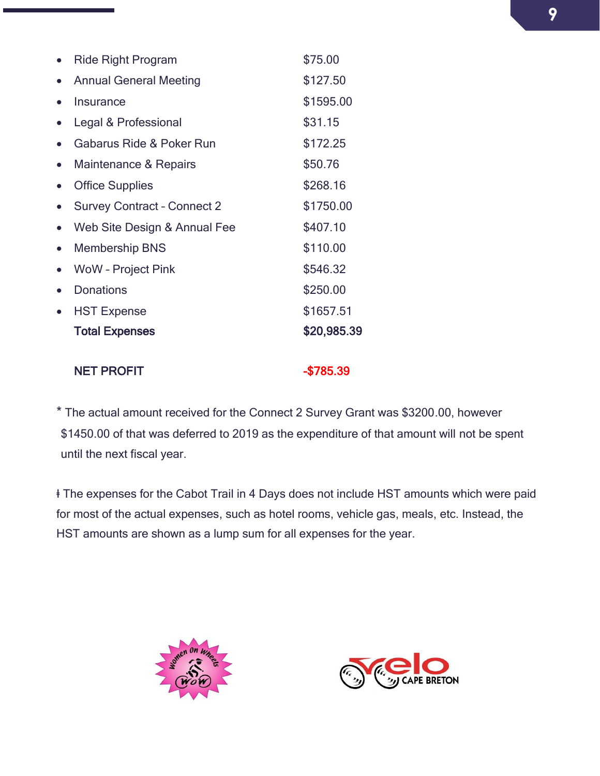| <b>Ride Right Program</b>          | \$75.00     |
|------------------------------------|-------------|
| <b>Annual General Meeting</b>      | \$127.50    |
| Insurance                          | \$1595.00   |
| Legal & Professional               | \$31.15     |
| Gabarus Ride & Poker Run           | \$172.25    |
| Maintenance & Repairs              | \$50.76     |
| <b>Office Supplies</b>             | \$268.16    |
| <b>Survey Contract - Connect 2</b> | \$1750.00   |
| Web Site Design & Annual Fee       | \$407.10    |
| <b>Membership BNS</b>              | \$110.00    |
| <b>WoW</b> - Project Pink          | \$546.32    |
| <b>Donations</b>                   | \$250.00    |
| <b>HST Expense</b>                 | \$1657.51   |
| <b>Total Expenses</b>              | \$20,985.39 |
|                                    |             |

#### NET PROFIT And the state of the state of the state  $-$ \$785.39

\* The actual amount received for the Connect 2 Survey Grant was \$3200.00, however \$1450.00 of that was deferred to 2019 as the expenditure of that amount will not be spent until the next fiscal year.

ⱡ The expenses for the Cabot Trail in 4 Days does not include HST amounts which were paid for most of the actual expenses, such as hotel rooms, vehicle gas, meals, etc. Instead, the HST amounts are shown as a lump sum for all expenses for the year.



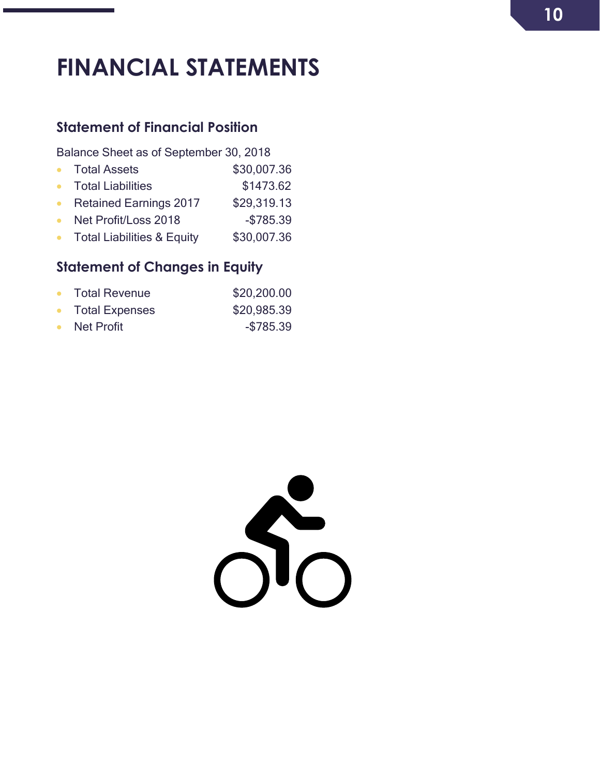# <span id="page-9-0"></span>**FINANCIAL STATEMENTS**

# <span id="page-9-1"></span>**Statement of Financial Position**

Balance Sheet as of September 30, 2018

- Total Assets \$30,007.36
- Total Liabilities \$1473.62
- Retained Earnings 2017 \$29,319.13
- Net Profit/Loss 2018 \$785.39
- Total Liabilities & Equity \$30,007.36

# <span id="page-9-2"></span>**Statement of Changes in Equity**

| <b>Total Revenue</b><br>$\bullet$ | \$20,200.00 |
|-----------------------------------|-------------|
| <b>Total Expenses</b>             | \$20,985.39 |
| Net Profit                        | $-$785.39$  |

 $\sum_{n=1}^{\infty}$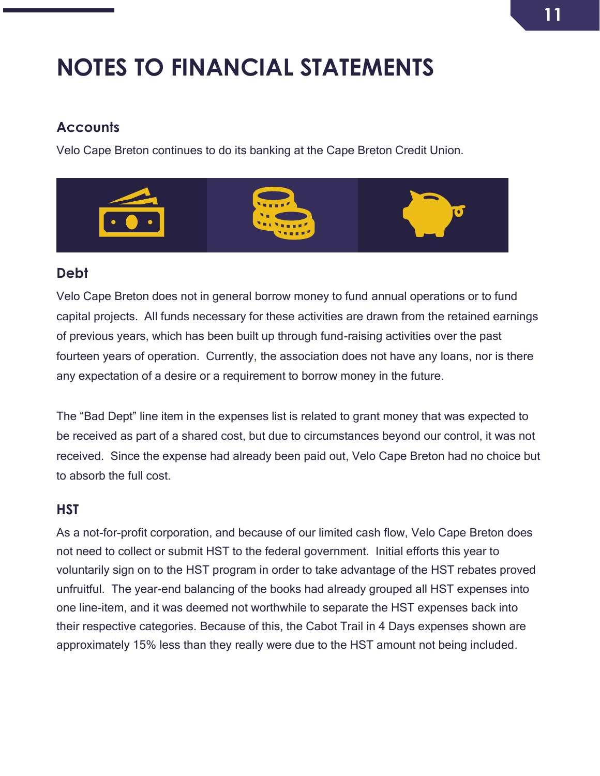# <span id="page-10-0"></span>**NOTES TO FINANCIAL STATEMENTS**

# <span id="page-10-1"></span>**Accounts**

Velo Cape Breton continues to do its banking at the Cape Breton Credit Union.



# <span id="page-10-2"></span>**Debt**

Velo Cape Breton does not in general borrow money to fund annual operations or to fund capital projects. All funds necessary for these activities are drawn from the retained earnings of previous years, which has been built up through fund-raising activities over the past fourteen years of operation. Currently, the association does not have any loans, nor is there any expectation of a desire or a requirement to borrow money in the future.

The "Bad Dept" line item in the expenses list is related to grant money that was expected to be received as part of a shared cost, but due to circumstances beyond our control, it was not received. Since the expense had already been paid out, Velo Cape Breton had no choice but to absorb the full cost.

# **HST**

As a not-for-profit corporation, and because of our limited cash flow, Velo Cape Breton does not need to collect or submit HST to the federal government. Initial efforts this year to voluntarily sign on to the HST program in order to take advantage of the HST rebates proved unfruitful. The year-end balancing of the books had already grouped all HST expenses into one line-item, and it was deemed not worthwhile to separate the HST expenses back into their respective categories. Because of this, the Cabot Trail in 4 Days expenses shown are approximately 15% less than they really were due to the HST amount not being included.